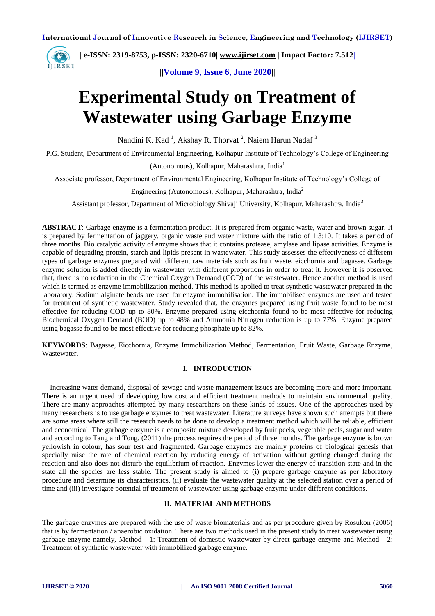

**| e-ISSN: 2319-8753, p-ISSN: 2320-6710[| www.ijirset.com](http://www.ijirset.com/) | Impact Factor: 7.512|**

**||Volume 9, Issue 6, June 2020||** 

## **Experimental Study on Treatment of Wastewater using Garbage Enzyme**

Nandini K. Kad <sup>1</sup>, Akshay R. Thorvat <sup>2</sup>, Naiem Harun Nadaf <sup>3</sup>

P.G. Student, Department of Environmental Engineering, Kolhapur Institute of Technology's College of Engineering

(Autonomous), Kolhapur, Maharashtra, India<sup>1</sup>

Associate professor, Department of Environmental Engineering, Kolhapur Institute of Technology's College of

Engineering (Autonomous), Kolhapur, Maharashtra, India<sup>2</sup>

Assistant professor, Department of Microbiology Shivaji University, Kolhapur, Maharashtra, India<sup>3</sup>

**ABSTRACT**: Garbage enzyme is a fermentation product. It is prepared from organic waste, water and brown sugar. It is prepared by fermentation of jaggery, organic waste and water mixture with the ratio of 1:3:10. It takes a period of three months. Bio catalytic activity of enzyme shows that it contains protease, amylase and lipase activities. Enzyme is capable of degrading protein, starch and lipids present in wastewater. This study assesses the effectiveness of different types of garbage enzymes prepared with different raw materials such as fruit waste, eicchornia and bagasse. Garbage enzyme solution is added directly in wastewater with different proportions in order to treat it. However it is observed that, there is no reduction in the Chemical Oxygen Demand (COD) of the wastewater. Hence another method is used which is termed as enzyme immobilization method. This method is applied to treat synthetic wastewater prepared in the laboratory. Sodium alginate beads are used for enzyme immobilisation. The immobilised enzymes are used and tested for treatment of synthetic wastewater. Study revealed that, the enzymes prepared using fruit waste found to be most effective for reducing COD up to 80%. Enzyme prepared using eicchornia found to be most effective for reducing Biochemical Oxygen Demand (BOD) up to 48% and Ammonia Nitrogen reduction is up to 77%. Enzyme prepared using bagasse found to be most effective for reducing phosphate up to 82%.

**KEYWORDS**: Bagasse, Eicchornia, Enzyme Immobilization Method, Fermentation, Fruit Waste, Garbage Enzyme, Wastewater.

#### **I. INTRODUCTION**

Increasing water demand, disposal of sewage and waste management issues are becoming more and more important. There is an urgent need of developing low cost and efficient treatment methods to maintain environmental quality. There are many approaches attempted by many researchers on these kinds of issues. One of the approaches used by many researchers is to use garbage enzymes to treat wastewater. Literature surveys have shown such attempts but there are some areas where still the research needs to be done to develop a treatment method which will be reliable, efficient and economical. The garbage enzyme is a composite mixture developed by fruit peels, vegetable peels, sugar and water and according to Tang and Tong, (2011) the process requires the period of three months. The garbage enzyme is brown yellowish in colour, has sour test and fragmented. Garbage enzymes are mainly proteins of biological genesis that specially raise the rate of chemical reaction by reducing energy of activation without getting changed during the reaction and also does not disturb the equilibrium of reaction. Enzymes lower the energy of transition state and in the state all the species are less stable. The present study is aimed to (i) prepare garbage enzyme as per laboratory procedure and determine its characteristics, (ii) evaluate the wastewater quality at the selected station over a period of time and (iii) investigate potential of treatment of wastewater using garbage enzyme under different conditions.

#### **II. MATERIAL AND METHODS**

The garbage enzymes are prepared with the use of waste biomaterials and as per procedure given by Rosukon (2006) that is by fermentation / anaerobic oxidation. There are two methods used in the present study to treat wastewater using garbage enzyme namely, Method - 1: Treatment of domestic wastewater by direct garbage enzyme and Method - 2: Treatment of synthetic wastewater with immobilized garbage enzyme.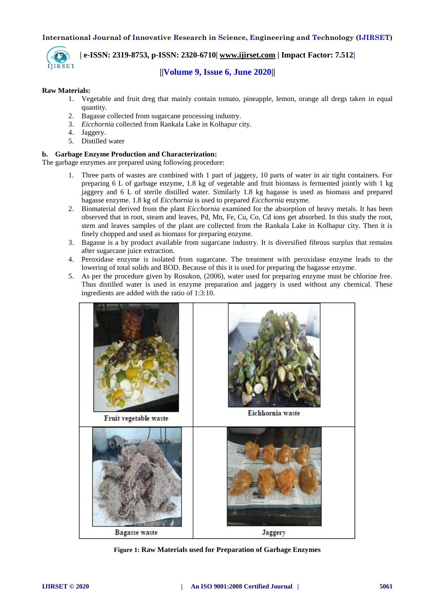

# **| e-ISSN: 2319-8753, p-ISSN: 2320-6710[| www.ijirset.com](http://www.ijirset.com/) | Impact Factor: 7.512|**

### **||Volume 9, Issue 6, June 2020||**

#### **Raw Materials:**

- 1. Vegetable and fruit dreg that mainly contain tomato, pineapple, lemon, orange all dregs taken in equal quantity.
- 2. Bagasse collected from sugarcane processing industry.
- 3. *Eicchornia* collected from Rankala Lake in Kolhapur city.
- 4. Jaggery.
- 5. Distilled water

#### **b. Garbage Enzyme Production and Characterization:**

The garbage enzymes are prepared using following procedure:

- 1. Three parts of wastes are combined with 1 part of jaggery, 10 parts of water in air tight containers. For preparing 6 L of garbage enzyme, 1.8 kg of vegetable and fruit biomass is fermented jointly with 1 kg jaggery and 6 L of sterile distilled water. Similarly 1.8 kg bagasse is used as biomass and prepared bagasse enzyme. 1.8 kg of *Eicchornia* is used to prepared *Eicchornia* enzyme.
- 2. Biomaterial derived from the plant *Eicchornia* examined for the absorption of heavy metals. It has been observed that in root, steam and leaves, Pd, Mn, Fe, Cu, Co, Cd ions get absorbed. In this study the root, stem and leaves samples of the plant are collected from the Rankala Lake in Kolhapur city. Then it is finely chopped and used as biomass for preparing enzyme.
- 3. Bagasse is a by product available from sugarcane industry. It is diversified fibrous surplus that remains after sugarcane juice extraction.
- 4. Peroxidase enzyme is isolated from sugarcane. The treatment with peroxidase enzyme leads to the lowering of total solids and BOD. Because of this it is used for preparing the bagasse enzyme.
- 5. As per the procedure given by Rosukon, (2006), water used for preparing enzyme must be chlorine free. Thus distilled water is used in enzyme preparation and jaggery is used without any chemical. These ingredients are added with the ratio of 1:3:10.



**Figure 1: Raw Materials used for Preparation of Garbage Enzymes**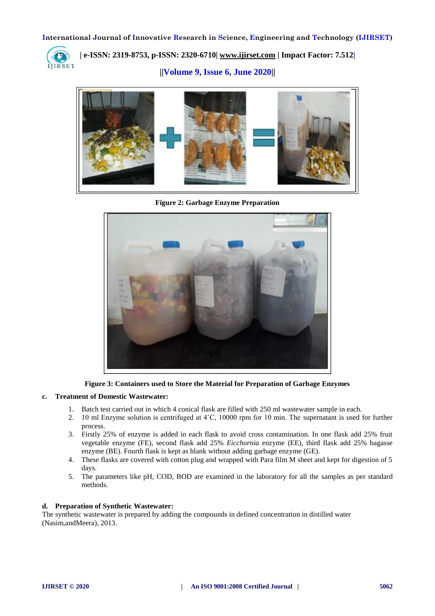

**| e-ISSN: 2319-8753, p-ISSN: 2320-6710[| www.ijirset.com](http://www.ijirset.com/) | Impact Factor: 7.512|**

**||Volume 9, Issue 6, June 2020||** 



**Figure 2: Garbage Enzyme Preparation**



**Figure 3: Containers used to Store the Material for Preparation of Garbage Enzymes**

#### **c. Treatment of Domestic Wastewater:**

- 1. Batch test carried out in which 4 conical flask are filled with 250 ml wastewater sample in each.
- 2. 10 ml Enzyme solution is centrifuged at 4°C, 10000 rpm for 10 min. The supernatant is used for further process.
- 3. Firstly 25% of enzyme is added in each flask to avoid cross contamination. In one flask add 25% fruit vegetable enzyme (FE), second flask add 25% *Eicchornia* enzyme (EE), third flask add 25% bagasse enzyme (BE). Fourth flask is kept as blank without adding garbage enzyme (GE).
- 4. These flasks are covered with cotton plug and wrapped with Para film M sheet and kept for digestion of 5 days.
- 5. The parameters like pH, COD, BOD are examined in the laboratory for all the samples as per standard methods.

#### **d. Preparation of Synthetic Wastewater:**

The synthetic wastewater is prepared by adding the compounds in defined concentration in distilled water (Nasim,andMeera), 2013.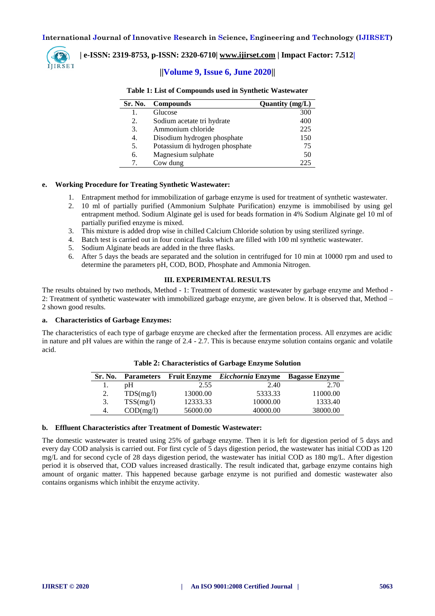

#### **| e-ISSN: 2319-8753, p-ISSN: 2320-6710[| www.ijirset.com](http://www.ijirset.com/) | Impact Factor: 7.512|**

#### **||Volume 9, Issue 6, June 2020||**

| Sr. No.                         | <b>Compounds</b>                | Quantity (mg/L) |
|---------------------------------|---------------------------------|-----------------|
| 1.                              | Glucose                         | 300             |
| 2.                              | Sodium acetate tri hydrate      | 400             |
| 3.                              | Ammonium chloride               | 225             |
| 4.                              | Disodium hydrogen phosphate     | 150             |
| 5.                              | Potassium di hydrogen phosphate | 75              |
| 6.                              | Magnesium sulphate              | 50              |
| $7_{\scriptscriptstyle{\circ}}$ | Cow dung                        | 225             |

#### **Table 1: List of Compounds used in Synthetic Wastewater**

#### **e. Working Procedure for Treating Synthetic Wastewater:**

j.

- 1. Entrapment method for immobilization of garbage enzyme is used for treatment of synthetic wastewater.
- 2. 10 ml of partially purified (Ammonium Sulphate Purification) enzyme is immobilised by using gel entrapment method. Sodium Alginate gel is used for beads formation in 4% Sodium Alginate gel 10 ml of partially purified enzyme is mixed.
- 3. This mixture is added drop wise in chilled Calcium Chloride solution by using sterilized syringe.
- 4. Batch test is carried out in four conical flasks which are filled with 100 ml synthetic wastewater.
- 5. Sodium Alginate beads are added in the three flasks.
- 6. After 5 days the beads are separated and the solution in centrifuged for 10 min at 10000 rpm and used to determine the parameters pH, COD, BOD, Phosphate and Ammonia Nitrogen.

#### **III. EXPERIMENTAL RESULTS**

The results obtained by two methods, Method - 1: Treatment of domestic wastewater by garbage enzyme and Method - 2: Treatment of synthetic wastewater with immobilized garbage enzyme, are given below. It is observed that, Method – 2 shown good results.

#### **a. Characteristics of Garbage Enzymes:**

The characteristics of each type of garbage enzyme are checked after the fermentation process. All enzymes are acidic in nature and pH values are within the range of 2.4 - 2.7. This is because enzyme solution contains organic and volatile acid.

| Sr. No. |           |          | Parameters Fruit Enzyme <i>Eicchornia</i> Enzyme | <b>Bagasse Enzyme</b> |
|---------|-----------|----------|--------------------------------------------------|-----------------------|
|         | pΗ        | 2.55     | 2.40                                             | 2.70                  |
| 2.      | TDS(mg/l) | 13000.00 | 5333.33                                          | 11000.00              |
| 3.      | TSS(mg/l) | 12333.33 | 10000.00                                         | 1333.40               |
| 4.      | COD(mg/l) | 56000.00 | 40000.00                                         | 38000.00              |

**Table 2: Characteristics of Garbage Enzyme Solution**

#### **b. Effluent Characteristics after Treatment of Domestic Wastewater:**

The domestic wastewater is treated using 25% of garbage enzyme. Then it is left for digestion period of 5 days and every day COD analysis is carried out. For first cycle of 5 days digestion period, the wastewater has initial COD as 120 mg/L and for second cycle of 28 days digestion period, the wastewater has initial COD as 180 mg/L. After digestion period it is observed that, COD values increased drastically. The result indicated that, garbage enzyme contains high amount of organic matter. This happened because garbage enzyme is not purified and domestic wastewater also contains organisms which inhibit the enzyme activity.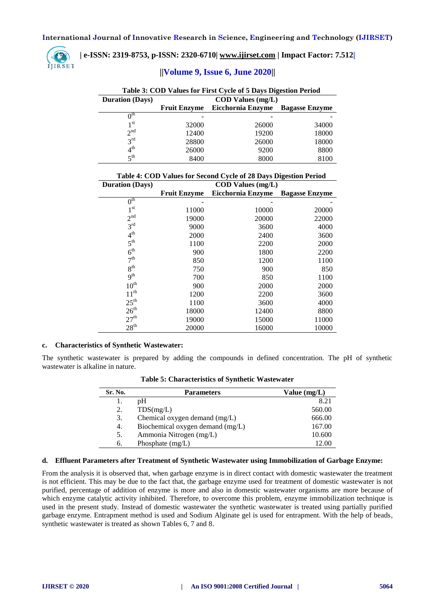

**| e-ISSN: 2319-8753, p-ISSN: 2320-6710[| www.ijirset.com](http://www.ijirset.com/) | Impact Factor: 7.512|**

#### **||Volume 9, Issue 6, June 2020||**

| Table 3: COD Values for First Cycle of 5 Days Digestion Period |                            |                                            |       |  |  |  |  |  |
|----------------------------------------------------------------|----------------------------|--------------------------------------------|-------|--|--|--|--|--|
| <b>Duration</b> (Days)                                         | $\text{COD Values (mg/L)}$ |                                            |       |  |  |  |  |  |
|                                                                | <b>Fruit Enzyme</b>        | Eicchornia Enzyme<br><b>Bagasse Enzyme</b> |       |  |  |  |  |  |
| $0^{\text{th}}$                                                |                            |                                            |       |  |  |  |  |  |
| 1 <sup>st</sup>                                                | 32000                      | 26000                                      | 34000 |  |  |  |  |  |
| 2 <sup>nd</sup>                                                | 12400                      | 19200                                      | 18000 |  |  |  |  |  |
| 3 <sup>rd</sup>                                                | 28800                      | 26000                                      | 18000 |  |  |  |  |  |
| $4^{\text{th}}$                                                | 26000                      | 9200                                       | 8800  |  |  |  |  |  |
| 5 <sup>th</sup>                                                | 8400                       | 8000                                       | 8100  |  |  |  |  |  |

| Table 4: COD Values for Second Cycle of 28 Days Digestion Period |  |  |  |
|------------------------------------------------------------------|--|--|--|
|                                                                  |  |  |  |

| <b>Duration (Days)</b> |                     | <b>COD Values (mg/L)</b> |                       |
|------------------------|---------------------|--------------------------|-----------------------|
|                        | <b>Fruit Enzyme</b> | Eicchornia Enzyme        | <b>Bagasse Enzyme</b> |
| $0^{\text{th}}$        |                     |                          |                       |
| 1 <sup>st</sup>        | 11000               | 10000                    | 20000                 |
| 2 <sup>nd</sup>        | 19000               | 20000                    | 22000                 |
| 3 <sup>rd</sup>        | 9000                | 3600                     | 4000                  |
| 4 <sup>th</sup>        | 2000                | 2400                     | 3600                  |
| 5 <sup>th</sup>        | 1100                | 2200                     | 2000                  |
| 6 <sup>th</sup>        | 900                 | 1800                     | 2200                  |
| 7 <sup>th</sup>        | 850                 | 1200                     | 1100                  |
| 8 <sup>th</sup>        | 750                 | 900                      | 850                   |
| 9 <sup>th</sup>        | 700                 | 850                      | 1100                  |
| $10^{\text{th}}$       | 900                 | 2000                     | 2000                  |
| $11^{th}$              | 1200                | 2200                     | 3600                  |
| $25^{\text{th}}$       | 1100                | 3600                     | 4000                  |
| 26 <sup>th</sup>       | 18000               | 12400                    | 8800                  |
| 27 <sup>th</sup>       | 19000               | 15000                    | 11000                 |
| 28 <sup>th</sup>       | 20000               | 16000                    | 10000                 |

#### **c. Characteristics of Synthetic Wastewater:**

The synthetic wastewater is prepared by adding the compounds in defined concentration. The pH of synthetic wastewater is alkaline in nature.

| Sr. No. | <b>Parameters</b>                | Value (mg/L) |
|---------|----------------------------------|--------------|
|         | pΗ                               | 8.21         |
| 2.      | TDS(mg/L)                        | 560.00       |
| 3.      | Chemical oxygen demand (mg/L)    | 666.00       |
| 4.      | Biochemical oxygen demand (mg/L) | 167.00       |
| 5.      | Ammonia Nitrogen (mg/L)          | 10.600       |
| 6.      | Phosphate $(mg/L)$               | 12.00        |

**Table 5: Characteristics of Synthetic Wastewater**

#### **d. Effluent Parameters after Treatment of Synthetic Wastewater using Immobilization of Garbage Enzyme:**

From the analysis it is observed that, when garbage enzyme is in direct contact with domestic wastewater the treatment is not efficient. This may be due to the fact that, the garbage enzyme used for treatment of domestic wastewater is not purified, percentage of addition of enzyme is more and also in domestic wastewater organisms are more because of which enzyme catalytic activity inhibited. Therefore, to overcome this problem, enzyme immobilization technique is used in the present study. Instead of domestic wastewater the synthetic wastewater is treated using partially purified garbage enzyme. Entrapment method is used and Sodium Alginate gel is used for entrapment. With the help of beads, synthetic wastewater is treated as shown Tables 6, 7 and 8.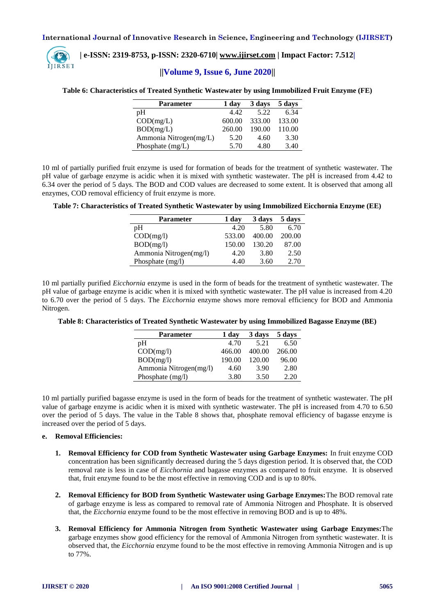

### **| e-ISSN: 2319-8753, p-ISSN: 2320-6710[| www.ijirset.com](http://www.ijirset.com/) | Impact Factor: 7.512|**

#### **||Volume 9, Issue 6, June 2020||**

#### **Table 6: Characteristics of Treated Synthetic Wastewater by using Immobilized Fruit Enzyme (FE)**

| <b>Parameter</b>       | 1 day  | 3 days | 5 days |
|------------------------|--------|--------|--------|
| pΗ                     | 4.42   | 5.22   | 6.34   |
| COD(mg/L)              | 600.00 | 333.00 | 133.00 |
| BOD(mg/L)              | 260.00 | 190.00 | 110.00 |
| Ammonia Nitrogen(mg/L) | 5.20   | 4.60   | 3.30   |
| Phosphate $(mg/L)$     | 5.70   | 4.80   | 3.40   |

10 ml of partially purified fruit enzyme is used for formation of beads for the treatment of synthetic wastewater. The pH value of garbage enzyme is acidic when it is mixed with synthetic wastewater. The pH is increased from 4.42 to 6.34 over the period of 5 days. The BOD and COD values are decreased to some extent. It is observed that among all enzymes, COD removal efficiency of fruit enzyme is more.

#### **Table 7: Characteristics of Treated Synthetic Wastewater by using Immobilized Eicchornia Enzyme (EE)**

| Parameter              | 1 day  | 3 days | 5 days |
|------------------------|--------|--------|--------|
| pH                     | 4.20   | 5.80   | 6.70   |
| COD(mg/l)              | 533.00 | 400.00 | 200.00 |
| BOD(mg/l)              | 150.00 | 130.20 | 87.00  |
| Ammonia Nitrogen(mg/l) | 4.20   | 3.80   | 2.50   |
| Phosphate $(mg/l)$     | 4.40   | 3.60   | 2.70   |

10 ml partially purified *Eicchornia* enzyme is used in the form of beads for the treatment of synthetic wastewater. The pH value of garbage enzyme is acidic when it is mixed with synthetic wastewater. The pH value is increased from 4.20 to 6.70 over the period of 5 days. The *Eicchornia* enzyme shows more removal efficiency for BOD and Ammonia Nitrogen.

|  | Table 8: Characteristics of Treated Synthetic Wastewater by using Immobilized Bagasse Enzyme (BE) |  |  |  |
|--|---------------------------------------------------------------------------------------------------|--|--|--|
|  |                                                                                                   |  |  |  |

| <b>Parameter</b>       | 1 day  | 3 days | 5 days |
|------------------------|--------|--------|--------|
| pΗ                     | 4.70   | 5.21   | 6.50   |
| COD(mg/l)              | 466.00 | 400.00 | 266.00 |
| BOD(mg/l)              | 190.00 | 120.00 | 96.00  |
| Ammonia Nitrogen(mg/l) | 4.60   | 3.90   | 2.80   |
| Phosphate $(mg/l)$     | 3.80   | 3.50   | 2.20   |

10 ml partially purified bagasse enzyme is used in the form of beads for the treatment of synthetic wastewater. The pH value of garbage enzyme is acidic when it is mixed with synthetic wastewater. The pH is increased from 4.70 to 6.50 over the period of 5 days. The value in the Table 8 shows that, phosphate removal efficiency of bagasse enzyme is increased over the period of 5 days.

#### **e. Removal Efficiencies:**

- **1. Removal Efficiency for COD from Synthetic Wastewater using Garbage Enzymes:** In fruit enzyme COD concentration has been significantly decreased during the 5 days digestion period. It is observed that, the COD removal rate is less in case of *Eicchornia* and bagasse enzymes as compared to fruit enzyme. It is observed that, fruit enzyme found to be the most effective in removing COD and is up to 80%.
- **2. Removal Efficiency for BOD from Synthetic Wastewater using Garbage Enzymes:**The BOD removal rate of garbage enzyme is less as compared to removal rate of Ammonia Nitrogen and Phosphate. It is observed that, the *Eicchornia* enzyme found to be the most effective in removing BOD and is up to 48%.
- **3. Removal Efficiency for Ammonia Nitrogen from Synthetic Wastewater using Garbage Enzymes:**The garbage enzymes show good efficiency for the removal of Ammonia Nitrogen from synthetic wastewater. It is observed that, the *Eicchornia* enzyme found to be the most effective in removing Ammonia Nitrogen and is up to 77%.